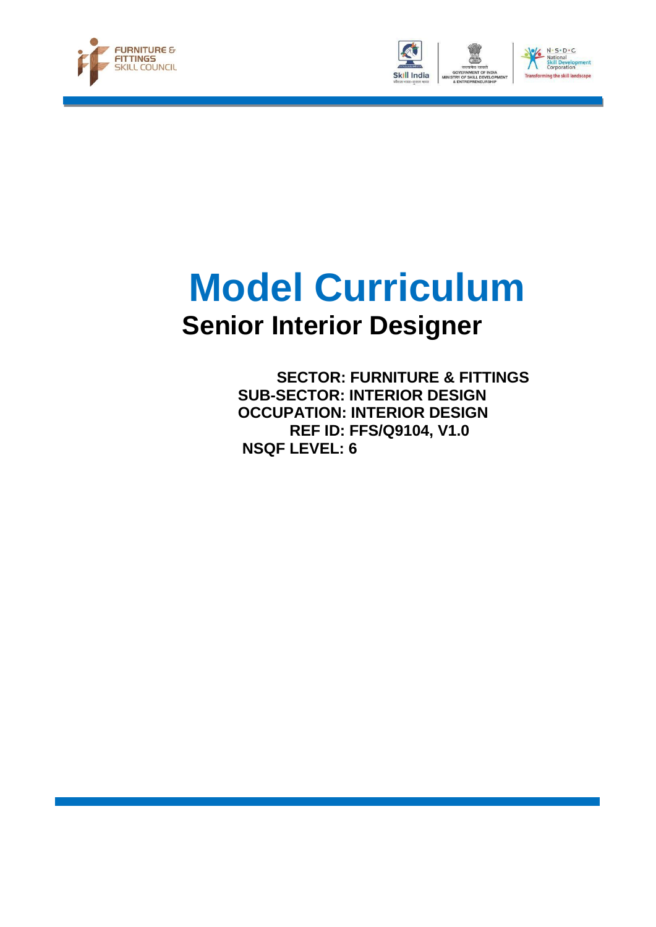





# **Model Curriculum Senior Interior Designer**

 **SECTOR: FURNITURE & FITTINGS SUB-SECTOR: INTERIOR DESIGN OCCUPATION: INTERIOR DESIGN REF ID: FFS/Q9104, V1.0 NSQF LEVEL: 6**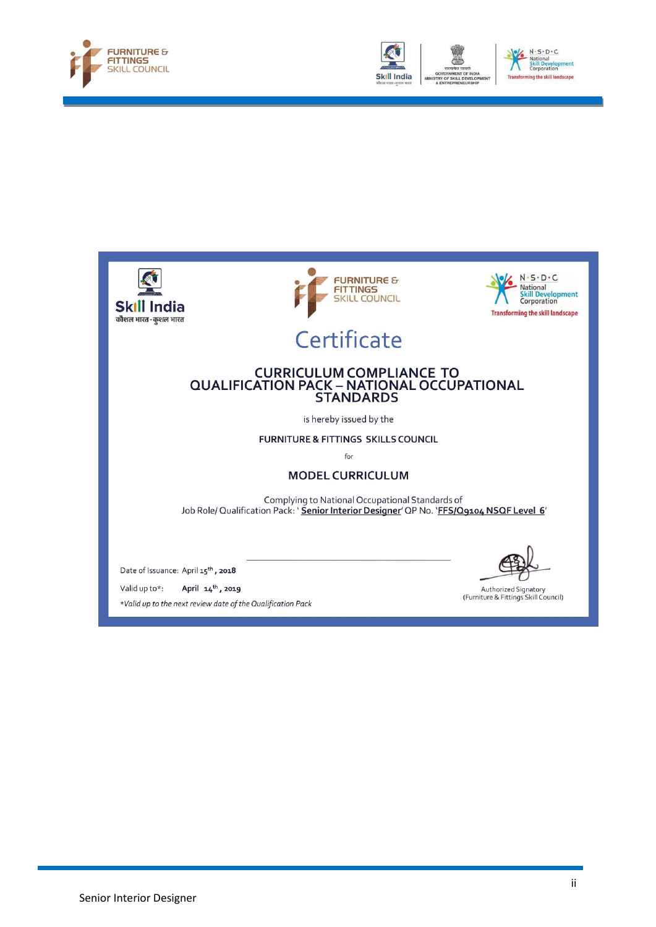





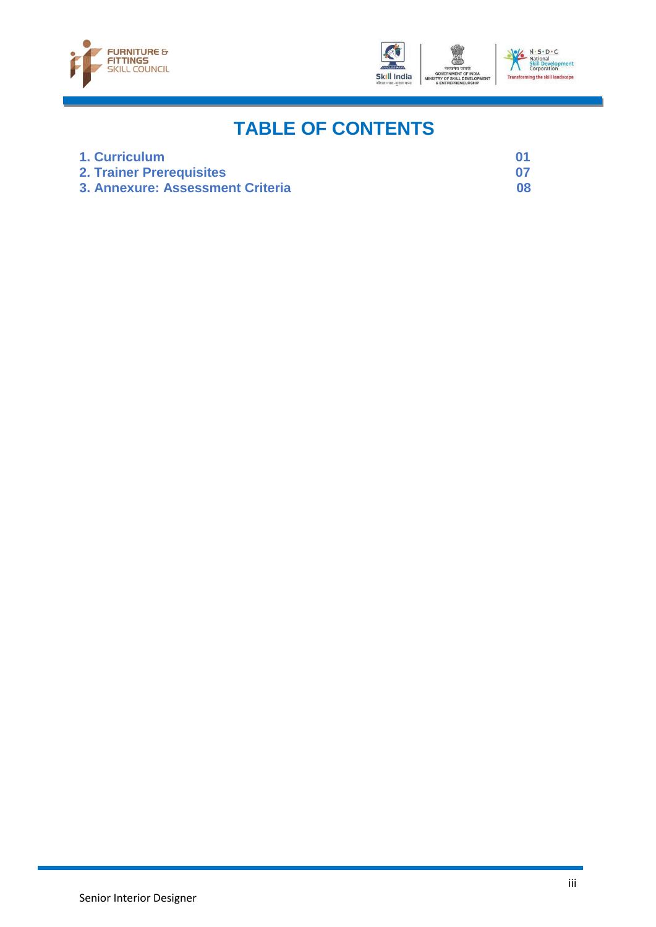



## **TABLE OF CONTENTS**

| 1. Curriculum                    |    |
|----------------------------------|----|
| <b>2. Trainer Prerequisites</b>  |    |
| 3. Annexure: Assessment Criteria | 08 |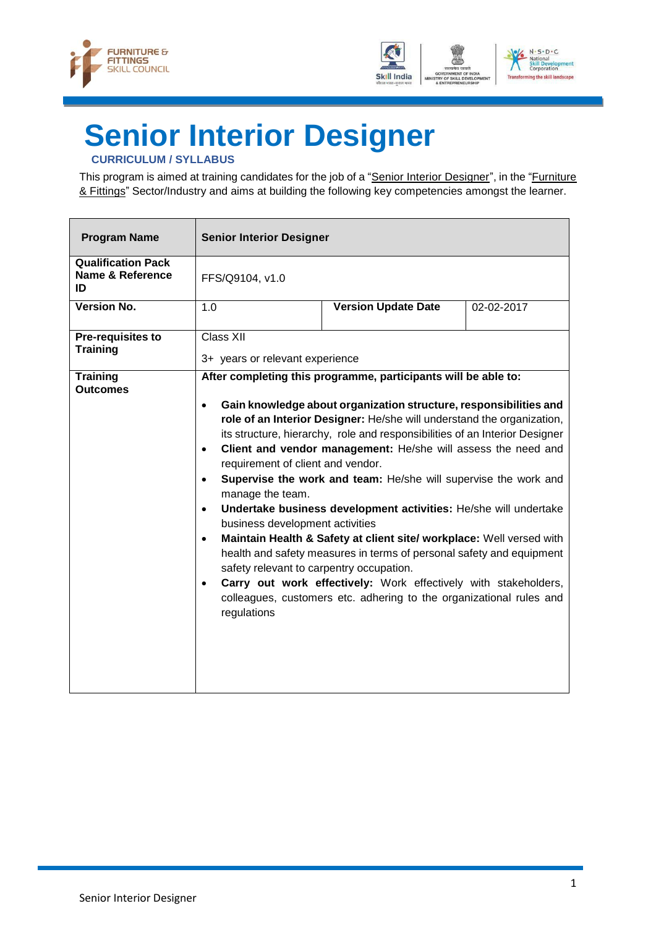



## <span id="page-3-0"></span>**Senior Interior Designer**

### **CURRICULUM / SYLLABUS**

This program is aimed at training candidates for the job of a "Senior Interior Designer", in the "Furniture & Fittings" Sector/Industry and aims at building the following key competencies amongst the learner.

| <b>Program Name</b>                                 | <b>Senior Interior Designer</b>                                                                                                                                                                                                   |                                                                                                                                                                                                                                                                                                                                                                                                                                                                                                                                                                                                                                                                                                                                                                                                |            |
|-----------------------------------------------------|-----------------------------------------------------------------------------------------------------------------------------------------------------------------------------------------------------------------------------------|------------------------------------------------------------------------------------------------------------------------------------------------------------------------------------------------------------------------------------------------------------------------------------------------------------------------------------------------------------------------------------------------------------------------------------------------------------------------------------------------------------------------------------------------------------------------------------------------------------------------------------------------------------------------------------------------------------------------------------------------------------------------------------------------|------------|
| <b>Qualification Pack</b><br>Name & Reference<br>ID | FFS/Q9104, v1.0                                                                                                                                                                                                                   |                                                                                                                                                                                                                                                                                                                                                                                                                                                                                                                                                                                                                                                                                                                                                                                                |            |
| <b>Version No.</b>                                  | 1.0                                                                                                                                                                                                                               | <b>Version Update Date</b>                                                                                                                                                                                                                                                                                                                                                                                                                                                                                                                                                                                                                                                                                                                                                                     | 02-02-2017 |
| <b>Pre-requisites to</b><br><b>Training</b>         | <b>Class XII</b><br>3+ years or relevant experience                                                                                                                                                                               |                                                                                                                                                                                                                                                                                                                                                                                                                                                                                                                                                                                                                                                                                                                                                                                                |            |
| <b>Training</b><br><b>Outcomes</b>                  | $\bullet$<br>$\bullet$<br>requirement of client and vendor.<br>$\bullet$<br>manage the team.<br>$\bullet$<br>business development activities<br>$\bullet$<br>safety relevant to carpentry occupation.<br>$\bullet$<br>regulations | After completing this programme, participants will be able to:<br>Gain knowledge about organization structure, responsibilities and<br>role of an Interior Designer: He/she will understand the organization,<br>its structure, hierarchy, role and responsibilities of an Interior Designer<br>Client and vendor management: He/she will assess the need and<br>Supervise the work and team: He/she will supervise the work and<br>Undertake business development activities: He/she will undertake<br>Maintain Health & Safety at client site/ workplace: Well versed with<br>health and safety measures in terms of personal safety and equipment<br>Carry out work effectively: Work effectively with stakeholders,<br>colleagues, customers etc. adhering to the organizational rules and |            |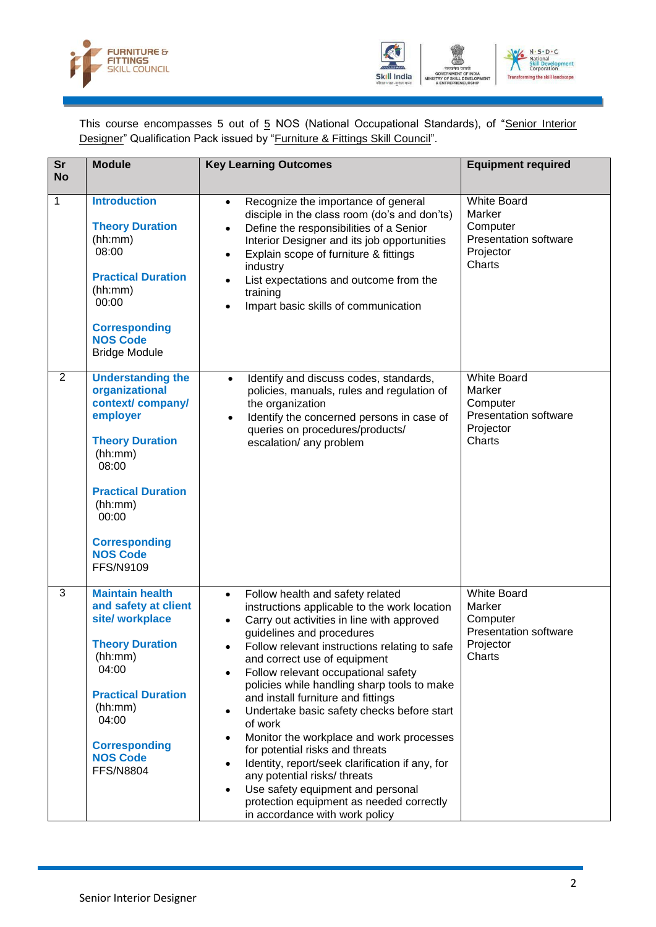



This course encompasses 5 out of 5 NOS (National Occupational Standards), of "Senior Interior Designer" Qualification Pack issued by "Furniture & Fittings Skill Council".

| $\overline{\text{Sr}}$<br><b>No</b> | <b>Module</b>                                                                                                                                                                                                                     | <b>Key Learning Outcomes</b>                                                                                                                                                                                                                                                                                                                                                                                                                                                                                                                                                                                                                                                                                                                     | <b>Equipment required</b>                                                                       |
|-------------------------------------|-----------------------------------------------------------------------------------------------------------------------------------------------------------------------------------------------------------------------------------|--------------------------------------------------------------------------------------------------------------------------------------------------------------------------------------------------------------------------------------------------------------------------------------------------------------------------------------------------------------------------------------------------------------------------------------------------------------------------------------------------------------------------------------------------------------------------------------------------------------------------------------------------------------------------------------------------------------------------------------------------|-------------------------------------------------------------------------------------------------|
| 1                                   | <b>Introduction</b><br><b>Theory Duration</b><br>(hh:mm)<br>08:00<br><b>Practical Duration</b><br>(hh:mm)<br>00:00<br><b>Corresponding</b><br><b>NOS Code</b><br><b>Bridge Module</b>                                             | Recognize the importance of general<br>$\bullet$<br>disciple in the class room (do's and don'ts)<br>Define the responsibilities of a Senior<br>Interior Designer and its job opportunities<br>Explain scope of furniture & fittings<br>$\bullet$<br>industry<br>List expectations and outcome from the<br>training<br>Impart basic skills of communication<br>$\bullet$                                                                                                                                                                                                                                                                                                                                                                          | <b>White Board</b><br>Marker<br>Computer<br><b>Presentation software</b><br>Projector<br>Charts |
| 2                                   | <b>Understanding the</b><br>organizational<br>context/company/<br>employer<br><b>Theory Duration</b><br>(hh:mm)<br>08:00<br><b>Practical Duration</b><br>(hh:mm)<br>00:00<br><b>Corresponding</b><br><b>NOS Code</b><br>FFS/N9109 | Identify and discuss codes, standards,<br>$\bullet$<br>policies, manuals, rules and regulation of<br>the organization<br>Identify the concerned persons in case of<br>$\bullet$<br>queries on procedures/products/<br>escalation/ any problem                                                                                                                                                                                                                                                                                                                                                                                                                                                                                                    | <b>White Board</b><br>Marker<br>Computer<br><b>Presentation software</b><br>Projector<br>Charts |
| 3                                   | <b>Maintain health</b><br>and safety at client<br>site/ workplace<br><b>Theory Duration</b><br>(hh:mm)<br>04:00<br><b>Practical Duration</b><br>(hh:mm)<br>04:00<br><b>Corresponding</b><br><b>NOS Code</b><br><b>FFS/N8804</b>   | Follow health and safety related<br>$\bullet$<br>instructions applicable to the work location<br>Carry out activities in line with approved<br>$\bullet$<br>guidelines and procedures<br>Follow relevant instructions relating to safe<br>and correct use of equipment<br>Follow relevant occupational safety<br>policies while handling sharp tools to make<br>and install furniture and fittings<br>Undertake basic safety checks before start<br>of work<br>Monitor the workplace and work processes<br>for potential risks and threats<br>Identity, report/seek clarification if any, for<br>any potential risks/ threats<br>Use safety equipment and personal<br>protection equipment as needed correctly<br>in accordance with work policy | <b>White Board</b><br>Marker<br>Computer<br><b>Presentation software</b><br>Projector<br>Charts |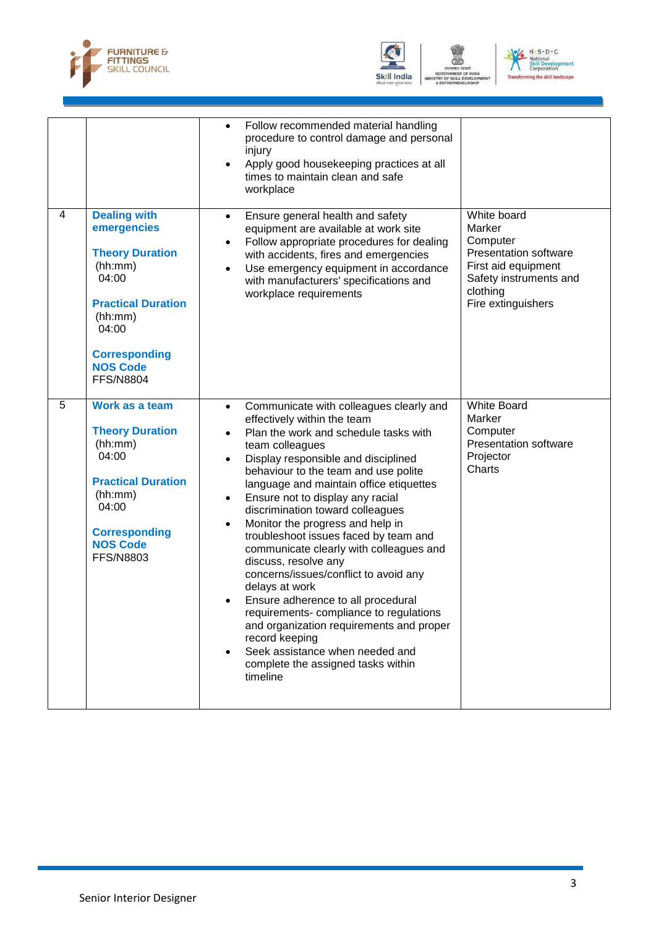



GOVERNMENT O<br>TRY OF SKILL DI<br>& ENTREPRENEI VELO



|   |                                                                                                                                                                                                  | Follow recommended material handling<br>$\bullet$<br>procedure to control damage and personal<br>injury<br>Apply good housekeeping practices at all<br>times to maintain clean and safe<br>workplace                                                                                                                                                                                                                                                                                                                                                                                                                                                                                                                                                                                                                                                 |                                                                                                                                               |
|---|--------------------------------------------------------------------------------------------------------------------------------------------------------------------------------------------------|------------------------------------------------------------------------------------------------------------------------------------------------------------------------------------------------------------------------------------------------------------------------------------------------------------------------------------------------------------------------------------------------------------------------------------------------------------------------------------------------------------------------------------------------------------------------------------------------------------------------------------------------------------------------------------------------------------------------------------------------------------------------------------------------------------------------------------------------------|-----------------------------------------------------------------------------------------------------------------------------------------------|
| 4 | <b>Dealing with</b><br>emergencies<br><b>Theory Duration</b><br>(hh:mm)<br>04:00<br><b>Practical Duration</b><br>(hh:mm)<br>04:00<br><b>Corresponding</b><br><b>NOS Code</b><br><b>FFS/N8804</b> | Ensure general health and safety<br>$\bullet$<br>equipment are available at work site<br>Follow appropriate procedures for dealing<br>$\bullet$<br>with accidents, fires and emergencies<br>Use emergency equipment in accordance<br>$\bullet$<br>with manufacturers' specifications and<br>workplace requirements                                                                                                                                                                                                                                                                                                                                                                                                                                                                                                                                   | White board<br>Marker<br>Computer<br>Presentation software<br>First aid equipment<br>Safety instruments and<br>clothing<br>Fire extinguishers |
| 5 | Work as a team<br><b>Theory Duration</b><br>(hh:mm)<br>04:00<br><b>Practical Duration</b><br>(hh:mm)<br>04:00<br><b>Corresponding</b><br><b>NOS Code</b><br><b>FFS/N8803</b>                     | Communicate with colleagues clearly and<br>$\bullet$<br>effectively within the team<br>Plan the work and schedule tasks with<br>$\bullet$<br>team colleagues<br>Display responsible and disciplined<br>$\bullet$<br>behaviour to the team and use polite<br>language and maintain office etiquettes<br>Ensure not to display any racial<br>$\bullet$<br>discrimination toward colleagues<br>Monitor the progress and help in<br>troubleshoot issues faced by team and<br>communicate clearly with colleagues and<br>discuss, resolve any<br>concerns/issues/conflict to avoid any<br>delays at work<br>Ensure adherence to all procedural<br>$\bullet$<br>requirements- compliance to regulations<br>and organization requirements and proper<br>record keeping<br>Seek assistance when needed and<br>complete the assigned tasks within<br>timeline | <b>White Board</b><br>Marker<br>Computer<br><b>Presentation software</b><br>Projector<br>Charts                                               |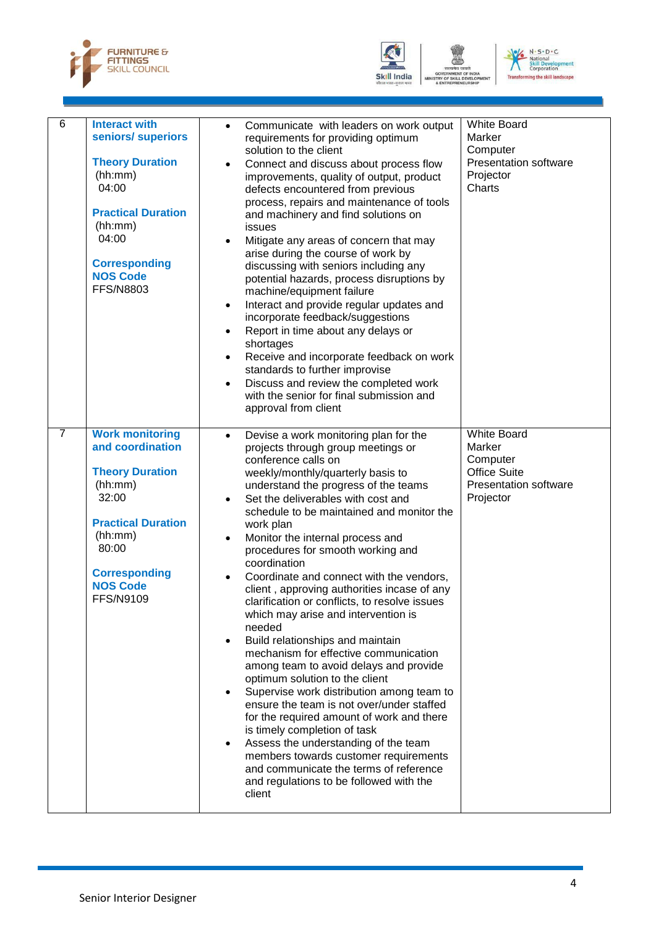



-<br>EVEL C



| 6              | <b>Interact with</b><br>seniors/ superiors<br><b>Theory Duration</b><br>(hh:mm)<br>04:00<br><b>Practical Duration</b><br>(hh:mm)<br>04:00<br><b>Corresponding</b><br><b>NOS Code</b><br><b>FFS/N8803</b> | Communicate with leaders on work output<br>$\bullet$<br>requirements for providing optimum<br>solution to the client<br>Connect and discuss about process flow<br>improvements, quality of output, product<br>defects encountered from previous<br>process, repairs and maintenance of tools<br>and machinery and find solutions on<br>issues<br>Mitigate any areas of concern that may<br>$\bullet$<br>arise during the course of work by<br>discussing with seniors including any<br>potential hazards, process disruptions by<br>machine/equipment failure<br>Interact and provide regular updates and<br>$\bullet$<br>incorporate feedback/suggestions<br>Report in time about any delays or<br>$\bullet$<br>shortages<br>Receive and incorporate feedback on work<br>$\bullet$<br>standards to further improvise<br>Discuss and review the completed work<br>$\bullet$<br>with the senior for final submission and<br>approval from client                                                                                                                                                                                           | <b>White Board</b><br>Marker<br>Computer<br><b>Presentation software</b><br>Projector<br>Charts              |
|----------------|----------------------------------------------------------------------------------------------------------------------------------------------------------------------------------------------------------|-------------------------------------------------------------------------------------------------------------------------------------------------------------------------------------------------------------------------------------------------------------------------------------------------------------------------------------------------------------------------------------------------------------------------------------------------------------------------------------------------------------------------------------------------------------------------------------------------------------------------------------------------------------------------------------------------------------------------------------------------------------------------------------------------------------------------------------------------------------------------------------------------------------------------------------------------------------------------------------------------------------------------------------------------------------------------------------------------------------------------------------------|--------------------------------------------------------------------------------------------------------------|
| $\overline{7}$ | <b>Work monitoring</b><br>and coordination<br><b>Theory Duration</b><br>(hh:mm)<br>32:00<br><b>Practical Duration</b><br>(hh:mm)<br>80:00<br><b>Corresponding</b><br><b>NOS Code</b><br><b>FFS/N9109</b> | Devise a work monitoring plan for the<br>$\bullet$<br>projects through group meetings or<br>conference calls on<br>weekly/monthly/quarterly basis to<br>understand the progress of the teams<br>Set the deliverables with cost and<br>$\bullet$<br>schedule to be maintained and monitor the<br>work plan<br>Monitor the internal process and<br>$\bullet$<br>procedures for smooth working and<br>coordination<br>Coordinate and connect with the vendors,<br>$\bullet$<br>client, approving authorities incase of any<br>clarification or conflicts, to resolve issues<br>which may arise and intervention is<br>needed<br>Build relationships and maintain<br>mechanism for effective communication<br>among team to avoid delays and provide<br>optimum solution to the client<br>Supervise work distribution among team to<br>ensure the team is not over/under staffed<br>for the required amount of work and there<br>is timely completion of task<br>Assess the understanding of the team<br>members towards customer requirements<br>and communicate the terms of reference<br>and regulations to be followed with the<br>client | <b>White Board</b><br>Marker<br>Computer<br><b>Office Suite</b><br><b>Presentation software</b><br>Projector |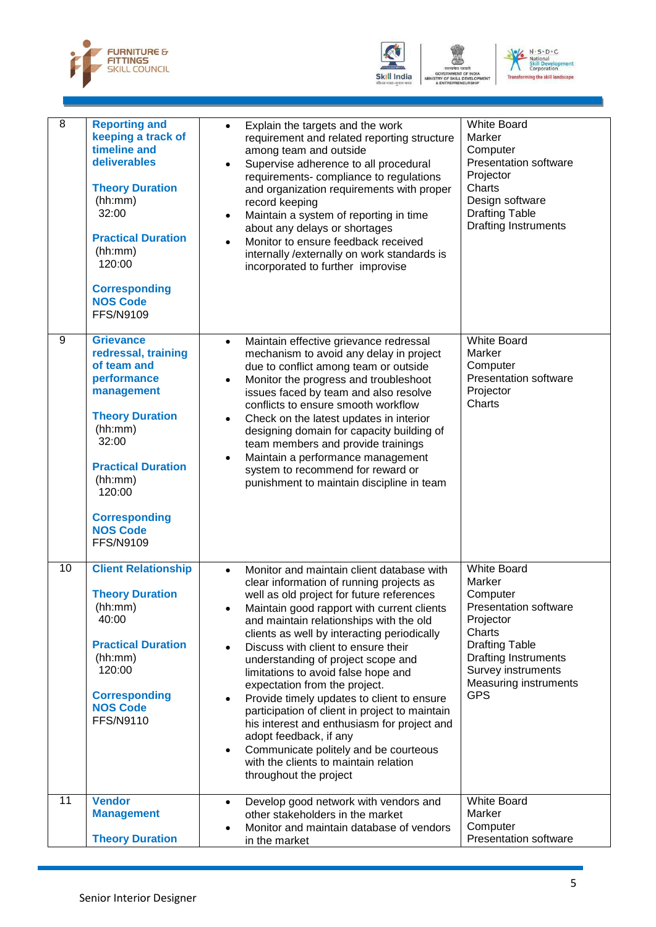



VELO



| $\overline{8}$ | <b>Reporting and</b><br>keeping a track of<br>timeline and<br>deliverables<br><b>Theory Duration</b><br>(hh:mm)<br>32:00<br><b>Practical Duration</b><br>(hh:mm)<br>120:00<br><b>Corresponding</b><br><b>NOS Code</b><br><b>FFS/N9109</b>          | Explain the targets and the work<br>$\bullet$<br>requirement and related reporting structure<br>among team and outside<br>Supervise adherence to all procedural<br>requirements-compliance to regulations<br>and organization requirements with proper<br>record keeping<br>Maintain a system of reporting in time<br>$\bullet$<br>about any delays or shortages<br>Monitor to ensure feedback received<br>internally / externally on work standards is<br>incorporated to further improvise                                                                                                                                                                                                                                                                | <b>White Board</b><br>Marker<br>Computer<br><b>Presentation software</b><br>Projector<br>Charts<br>Design software<br><b>Drafting Table</b><br><b>Drafting Instruments</b>                                           |
|----------------|----------------------------------------------------------------------------------------------------------------------------------------------------------------------------------------------------------------------------------------------------|-------------------------------------------------------------------------------------------------------------------------------------------------------------------------------------------------------------------------------------------------------------------------------------------------------------------------------------------------------------------------------------------------------------------------------------------------------------------------------------------------------------------------------------------------------------------------------------------------------------------------------------------------------------------------------------------------------------------------------------------------------------|----------------------------------------------------------------------------------------------------------------------------------------------------------------------------------------------------------------------|
| 9              | <b>Grievance</b><br>redressal, training<br>of team and<br>performance<br>management<br><b>Theory Duration</b><br>(hh:mm)<br>32:00<br><b>Practical Duration</b><br>(hh:mm)<br>120:00<br><b>Corresponding</b><br><b>NOS Code</b><br><b>FFS/N9109</b> | Maintain effective grievance redressal<br>$\bullet$<br>mechanism to avoid any delay in project<br>due to conflict among team or outside<br>Monitor the progress and troubleshoot<br>$\bullet$<br>issues faced by team and also resolve<br>conflicts to ensure smooth workflow<br>Check on the latest updates in interior<br>٠<br>designing domain for capacity building of<br>team members and provide trainings<br>Maintain a performance management<br>system to recommend for reward or<br>punishment to maintain discipline in team                                                                                                                                                                                                                     | <b>White Board</b><br>Marker<br>Computer<br><b>Presentation software</b><br>Projector<br>Charts                                                                                                                      |
| 10             | <b>Client Relationship</b><br><b>Theory Duration</b><br>(hh:mm)<br>40:00<br><b>Practical Duration</b><br>(hh:mm)<br>120:00<br><b>Corresponding</b><br><b>NOS Code</b><br><b>FFS/N9110</b>                                                          | Monitor and maintain client database with<br>$\bullet$<br>clear information of running projects as<br>well as old project for future references<br>Maintain good rapport with current clients<br>and maintain relationships with the old<br>clients as well by interacting periodically<br>Discuss with client to ensure their<br>understanding of project scope and<br>limitations to avoid false hope and<br>expectation from the project.<br>Provide timely updates to client to ensure<br>$\bullet$<br>participation of client in project to maintain<br>his interest and enthusiasm for project and<br>adopt feedback, if any<br>Communicate politely and be courteous<br>$\bullet$<br>with the clients to maintain relation<br>throughout the project | <b>White Board</b><br>Marker<br>Computer<br><b>Presentation software</b><br>Projector<br>Charts<br><b>Drafting Table</b><br><b>Drafting Instruments</b><br>Survey instruments<br>Measuring instruments<br><b>GPS</b> |
| 11             | <b>Vendor</b><br><b>Management</b><br><b>Theory Duration</b>                                                                                                                                                                                       | Develop good network with vendors and<br>$\bullet$<br>other stakeholders in the market<br>Monitor and maintain database of vendors<br>in the market                                                                                                                                                                                                                                                                                                                                                                                                                                                                                                                                                                                                         | <b>White Board</b><br>Marker<br>Computer<br><b>Presentation software</b>                                                                                                                                             |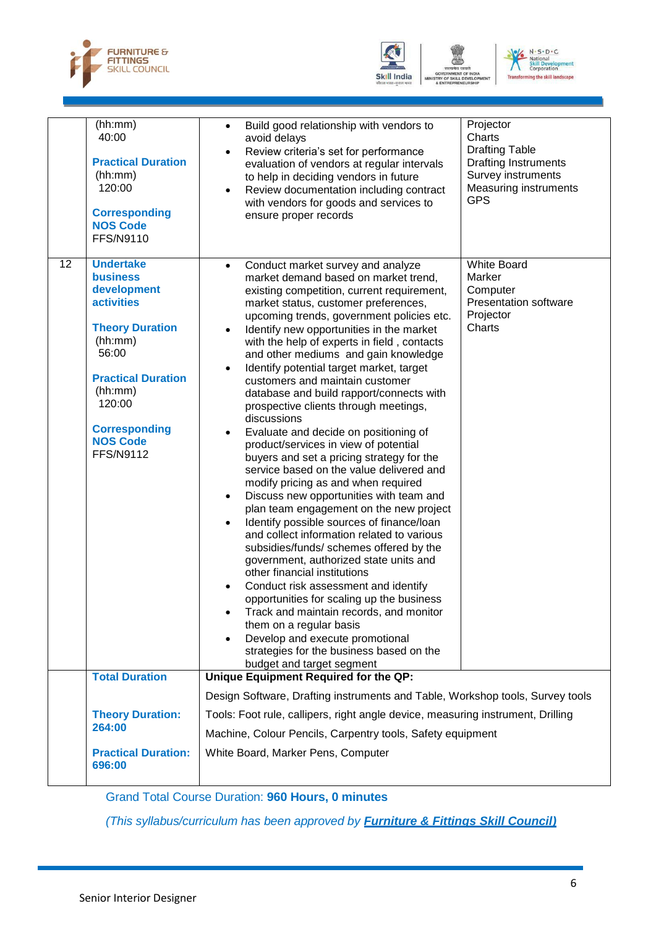





|    | (hh:mm)<br>40:00<br><b>Practical Duration</b><br>(hh:mm)<br>120:00<br><b>Corresponding</b><br><b>NOS Code</b><br>FFS/N9110                                                                                                             | Projector<br>Build good relationship with vendors to<br>$\bullet$<br>Charts<br>avoid delays<br><b>Drafting Table</b><br>Review criteria's set for performance<br>$\bullet$<br><b>Drafting Instruments</b><br>evaluation of vendors at regular intervals<br>Survey instruments<br>to help in deciding vendors in future<br><b>Measuring instruments</b><br>Review documentation including contract<br>٠<br><b>GPS</b><br>with vendors for goods and services to<br>ensure proper records                                                                                                                                                                                                                                                                                                                                                                                                                                                                                                                                                                                                                                                                                                                                                                                                                                                                                                                                                                                          |
|----|----------------------------------------------------------------------------------------------------------------------------------------------------------------------------------------------------------------------------------------|----------------------------------------------------------------------------------------------------------------------------------------------------------------------------------------------------------------------------------------------------------------------------------------------------------------------------------------------------------------------------------------------------------------------------------------------------------------------------------------------------------------------------------------------------------------------------------------------------------------------------------------------------------------------------------------------------------------------------------------------------------------------------------------------------------------------------------------------------------------------------------------------------------------------------------------------------------------------------------------------------------------------------------------------------------------------------------------------------------------------------------------------------------------------------------------------------------------------------------------------------------------------------------------------------------------------------------------------------------------------------------------------------------------------------------------------------------------------------------|
| 12 | <b>Undertake</b><br><b>business</b><br>development<br><b>activities</b><br><b>Theory Duration</b><br>(hh:mm)<br>56:00<br><b>Practical Duration</b><br>(hh:mm)<br>120:00<br><b>Corresponding</b><br><b>NOS Code</b><br><b>FFS/N9112</b> | <b>White Board</b><br>Conduct market survey and analyze<br>$\bullet$<br>market demand based on market trend,<br>Marker<br>Computer<br>existing competition, current requirement,<br><b>Presentation software</b><br>market status, customer preferences,<br>Projector<br>upcoming trends, government policies etc.<br>Charts<br>Identify new opportunities in the market<br>with the help of experts in field, contacts<br>and other mediums and gain knowledge<br>Identify potential target market, target<br>customers and maintain customer<br>database and build rapport/connects with<br>prospective clients through meetings,<br>discussions<br>Evaluate and decide on positioning of<br>$\bullet$<br>product/services in view of potential<br>buyers and set a pricing strategy for the<br>service based on the value delivered and<br>modify pricing as and when required<br>Discuss new opportunities with team and<br>٠<br>plan team engagement on the new project<br>Identify possible sources of finance/loan<br>$\bullet$<br>and collect information related to various<br>subsidies/funds/ schemes offered by the<br>government, authorized state units and<br>other financial institutions<br>Conduct risk assessment and identify<br>opportunities for scaling up the business<br>Track and maintain records, and monitor<br>them on a regular basis<br>Develop and execute promotional<br>strategies for the business based on the<br>budget and target segment |
|    | <b>Total Duration</b>                                                                                                                                                                                                                  | Unique Equipment Required for the QP:                                                                                                                                                                                                                                                                                                                                                                                                                                                                                                                                                                                                                                                                                                                                                                                                                                                                                                                                                                                                                                                                                                                                                                                                                                                                                                                                                                                                                                            |
|    | <b>Theory Duration:</b><br>264:00                                                                                                                                                                                                      | Design Software, Drafting instruments and Table, Workshop tools, Survey tools<br>Tools: Foot rule, callipers, right angle device, measuring instrument, Drilling<br>Machine, Colour Pencils, Carpentry tools, Safety equipment                                                                                                                                                                                                                                                                                                                                                                                                                                                                                                                                                                                                                                                                                                                                                                                                                                                                                                                                                                                                                                                                                                                                                                                                                                                   |
|    | <b>Practical Duration:</b><br>696:00                                                                                                                                                                                                   | White Board, Marker Pens, Computer                                                                                                                                                                                                                                                                                                                                                                                                                                                                                                                                                                                                                                                                                                                                                                                                                                                                                                                                                                                                                                                                                                                                                                                                                                                                                                                                                                                                                                               |

Grand Total Course Duration: **960 Hours, 0 minutes**

*(This syllabus/curriculum has been approved by Furniture & Fittings Skill Council)*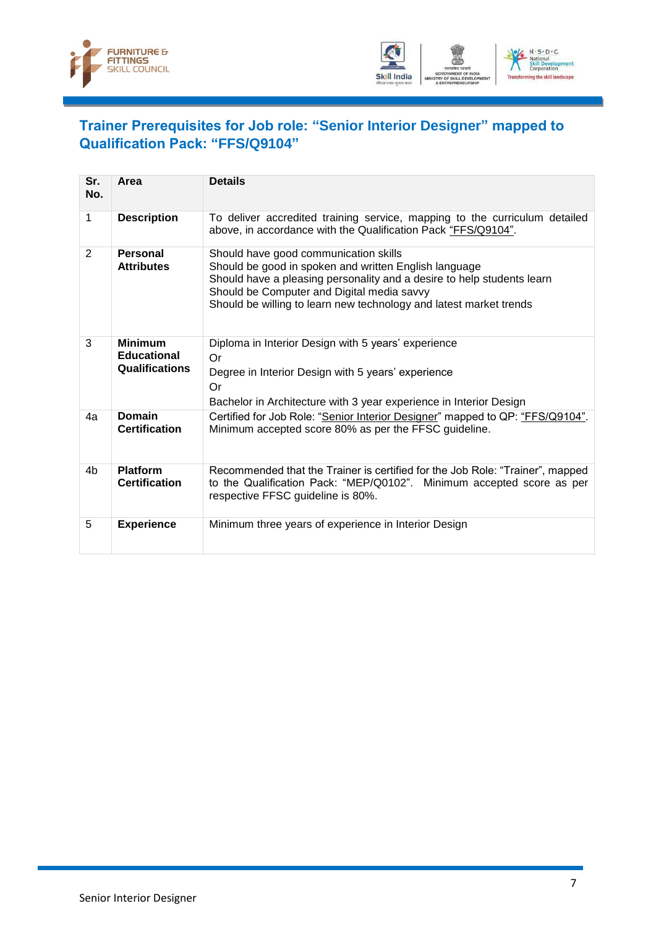



## <span id="page-9-0"></span>**Trainer Prerequisites for Job role: "Senior Interior Designer" mapped to Qualification Pack: "FFS/Q9104"**

| Sr.<br>No. | Area                                                          | <b>Details</b>                                                                                                                                                                                                                                                                               |
|------------|---------------------------------------------------------------|----------------------------------------------------------------------------------------------------------------------------------------------------------------------------------------------------------------------------------------------------------------------------------------------|
| 1          | <b>Description</b>                                            | To deliver accredited training service, mapping to the curriculum detailed<br>above, in accordance with the Qualification Pack "FFS/Q9104".                                                                                                                                                  |
| 2          | Personal<br><b>Attributes</b>                                 | Should have good communication skills<br>Should be good in spoken and written English language<br>Should have a pleasing personality and a desire to help students learn<br>Should be Computer and Digital media savvy<br>Should be willing to learn new technology and latest market trends |
| 3          | <b>Minimum</b><br><b>Educational</b><br><b>Qualifications</b> | Diploma in Interior Design with 5 years' experience<br><b>Or</b><br>Degree in Interior Design with 5 years' experience<br>Or<br>Bachelor in Architecture with 3 year experience in Interior Design                                                                                           |
| 4a         | Domain<br><b>Certification</b>                                | Certified for Job Role: "Senior Interior Designer" mapped to QP: "FFS/Q9104".<br>Minimum accepted score 80% as per the FFSC guideline.                                                                                                                                                       |
| 4b         | <b>Platform</b><br><b>Certification</b>                       | Recommended that the Trainer is certified for the Job Role: "Trainer", mapped<br>to the Qualification Pack: "MEP/Q0102". Minimum accepted score as per<br>respective FFSC guideline is 80%.                                                                                                  |
| 5          | <b>Experience</b>                                             | Minimum three years of experience in Interior Design                                                                                                                                                                                                                                         |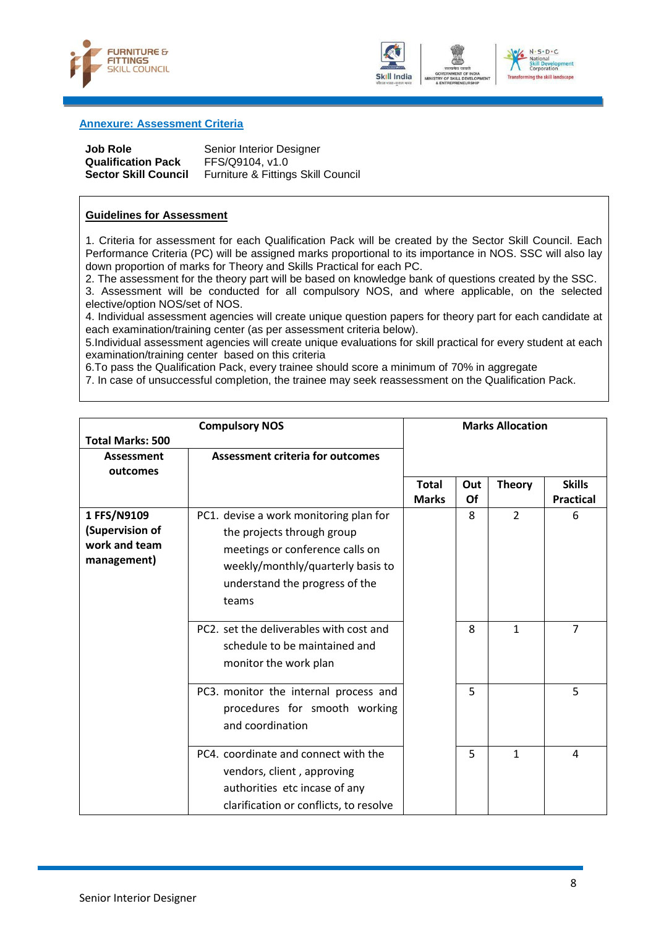



## ional<br><mark>| Developi</mark><br>poration a the skill landscape

#### <span id="page-10-0"></span>**Annexure: Assessment Criteria**

| <b>Job Role</b>             | Se |
|-----------------------------|----|
| <b>Qualification Pack</b>   | ЕF |
| <b>Sector Skill Council</b> | Fu |

**Prior Interior Designer**  $\cdot$ S/Q9104, v1.0 **Inditure & Fittings Skill Council** 

### **Guidelines for Assessment**

1. Criteria for assessment for each Qualification Pack will be created by the Sector Skill Council. Each Performance Criteria (PC) will be assigned marks proportional to its importance in NOS. SSC will also lay down proportion of marks for Theory and Skills Practical for each PC.

2. The assessment for the theory part will be based on knowledge bank of questions created by the SSC.

3. Assessment will be conducted for all compulsory NOS, and where applicable, on the selected elective/option NOS/set of NOS.

4. Individual assessment agencies will create unique question papers for theory part for each candidate at each examination/training center (as per assessment criteria below).

5.Individual assessment agencies will create unique evaluations for skill practical for every student at each examination/training center based on this criteria

6.To pass the Qualification Pack, every trainee should score a minimum of 70% in aggregate

7. In case of unsuccessful completion, the trainee may seek reassessment on the Qualification Pack.

|                         | <b>Compulsory NOS</b>                   |                              |           | <b>Marks Allocation</b> |                                   |
|-------------------------|-----------------------------------------|------------------------------|-----------|-------------------------|-----------------------------------|
| <b>Total Marks: 500</b> |                                         |                              |           |                         |                                   |
| Assessment              | <b>Assessment criteria for outcomes</b> |                              |           |                         |                                   |
| outcomes                |                                         |                              |           |                         |                                   |
|                         |                                         | <b>Total</b><br><b>Marks</b> | Out<br>Of | <b>Theory</b>           | <b>Skills</b><br><b>Practical</b> |
| 1 FFS/N9109             | PC1. devise a work monitoring plan for  |                              | 8         | $\overline{2}$          | 6                                 |
| (Supervision of         |                                         |                              |           |                         |                                   |
| work and team           | the projects through group              |                              |           |                         |                                   |
| management)             | meetings or conference calls on         |                              |           |                         |                                   |
|                         | weekly/monthly/quarterly basis to       |                              |           |                         |                                   |
|                         | understand the progress of the          |                              |           |                         |                                   |
|                         | teams                                   |                              |           |                         |                                   |
|                         |                                         |                              |           |                         |                                   |
|                         | PC2. set the deliverables with cost and |                              | 8         | 1                       | $\overline{7}$                    |
|                         | schedule to be maintained and           |                              |           |                         |                                   |
|                         | monitor the work plan                   |                              |           |                         |                                   |
|                         | PC3. monitor the internal process and   |                              | 5         |                         | 5                                 |
|                         | procedures for smooth working           |                              |           |                         |                                   |
|                         | and coordination                        |                              |           |                         |                                   |
|                         |                                         |                              |           |                         |                                   |
|                         | PC4. coordinate and connect with the    |                              | 5         | $\mathbf{1}$            | 4                                 |
|                         | vendors, client, approving              |                              |           |                         |                                   |
|                         | authorities etc incase of any           |                              |           |                         |                                   |
|                         | clarification or conflicts, to resolve  |                              |           |                         |                                   |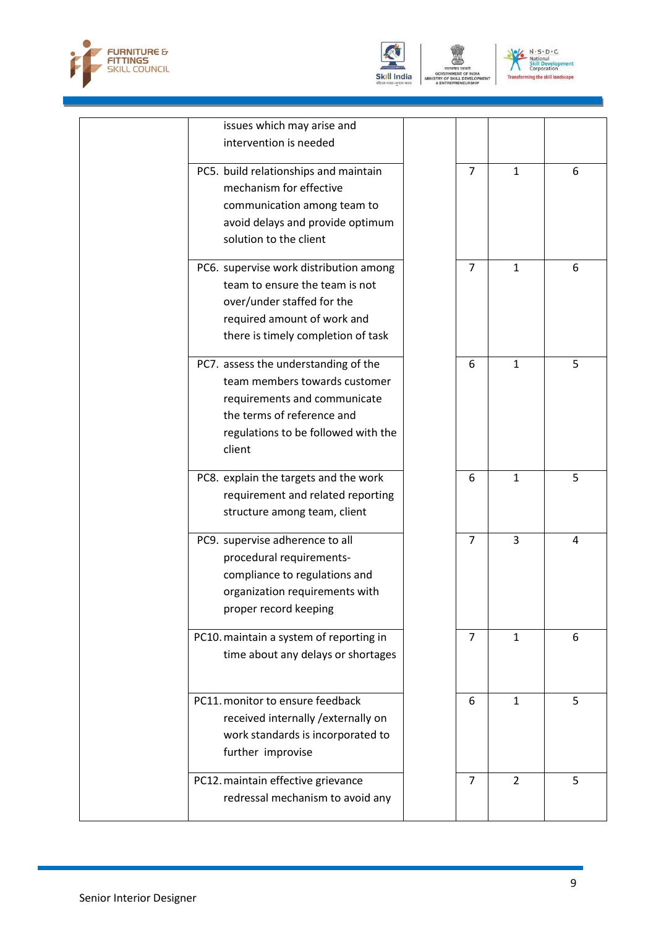



GOVERNMENT O<br>TRY OF SKILL DI<br>& ENTREPRENEI VELO



| issues which may arise and              |                |                |   |
|-----------------------------------------|----------------|----------------|---|
| intervention is needed                  |                |                |   |
|                                         |                |                |   |
| PC5. build relationships and maintain   | $\overline{7}$ | $\mathbf{1}$   | 6 |
| mechanism for effective                 |                |                |   |
| communication among team to             |                |                |   |
| avoid delays and provide optimum        |                |                |   |
| solution to the client                  |                |                |   |
| PC6. supervise work distribution among  | $\overline{7}$ | $\mathbf{1}$   | 6 |
| team to ensure the team is not          |                |                |   |
| over/under staffed for the              |                |                |   |
| required amount of work and             |                |                |   |
| there is timely completion of task      |                |                |   |
|                                         |                |                |   |
| PC7. assess the understanding of the    | 6              | $\mathbf{1}$   | 5 |
| team members towards customer           |                |                |   |
| requirements and communicate            |                |                |   |
| the terms of reference and              |                |                |   |
| regulations to be followed with the     |                |                |   |
| client                                  |                |                |   |
|                                         |                |                |   |
| PC8. explain the targets and the work   | 6              | $\mathbf{1}$   | 5 |
| requirement and related reporting       |                |                |   |
| structure among team, client            |                |                |   |
| PC9. supervise adherence to all         | $\overline{7}$ | 3              | 4 |
| procedural requirements-                |                |                |   |
| compliance to regulations and           |                |                |   |
| organization requirements with          |                |                |   |
| proper record keeping                   |                |                |   |
|                                         |                |                |   |
| PC10. maintain a system of reporting in | 7              | $\mathbf{1}$   | 6 |
| time about any delays or shortages      |                |                |   |
|                                         |                |                |   |
| PC11. monitor to ensure feedback        | 6              | $\mathbf{1}$   | 5 |
| received internally / externally on     |                |                |   |
| work standards is incorporated to       |                |                |   |
| further improvise                       |                |                |   |
|                                         |                |                |   |
| PC12. maintain effective grievance      | $\overline{7}$ | $\overline{2}$ | 5 |
| redressal mechanism to avoid any        |                |                |   |
|                                         |                |                |   |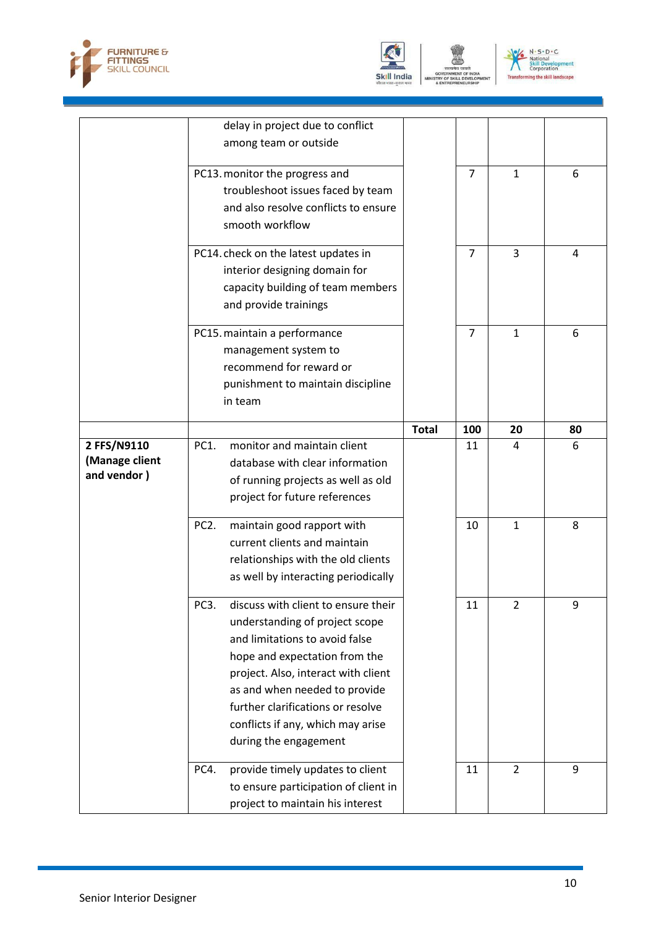





| delay in project due to conflict                                        |                |
|-------------------------------------------------------------------------|----------------|
| among team or outside                                                   |                |
|                                                                         |                |
| PC13. monitor the progress and<br>7<br>$\mathbf{1}$                     | 6              |
| troubleshoot issues faced by team                                       |                |
| and also resolve conflicts to ensure                                    |                |
| smooth workflow                                                         |                |
|                                                                         |                |
| 3<br>PC14. check on the latest updates in<br>$\overline{7}$             | $\overline{4}$ |
| interior designing domain for                                           |                |
| capacity building of team members                                       |                |
| and provide trainings                                                   |                |
|                                                                         |                |
| PC15. maintain a performance<br>$\mathbf{1}$<br>7                       | 6              |
| management system to                                                    |                |
| recommend for reward or                                                 |                |
| punishment to maintain discipline                                       |                |
| in team                                                                 |                |
| <b>Total</b><br>100<br>20                                               | 80             |
| monitor and maintain client<br>2 FFS/N9110<br>PC1.<br>11<br>4           | 6              |
| (Manage client<br>database with clear information                       |                |
| and vendor)<br>of running projects as well as old                       |                |
| project for future references                                           |                |
|                                                                         |                |
| PC <sub>2</sub> .<br>maintain good rapport with<br>10<br>$\mathbf{1}$   | 8              |
|                                                                         |                |
| current clients and maintain                                            |                |
| relationships with the old clients                                      |                |
| as well by interacting periodically                                     |                |
|                                                                         |                |
| PC3.<br>discuss with client to ensure their<br>$11\,$<br>$\overline{2}$ | 9              |
| understanding of project scope<br>and limitations to avoid false        |                |
|                                                                         |                |
| hope and expectation from the                                           |                |
| project. Also, interact with client                                     |                |
| as and when needed to provide                                           |                |
| further clarifications or resolve                                       |                |
| conflicts if any, which may arise                                       |                |
| during the engagement                                                   |                |
| provide timely updates to client<br>$\overline{2}$<br>PC4.<br>11        | 9              |
| to ensure participation of client in                                    |                |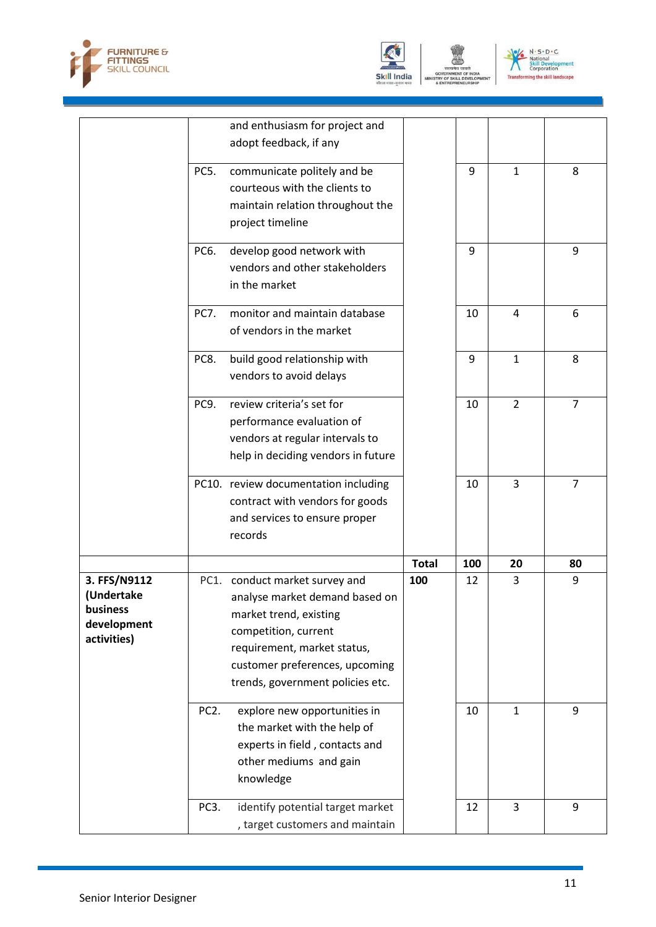





|                                                                      |                   | and enthusiasm for project and<br>adopt feedback, if any                                                                                                                                                                |              |     |                |                |
|----------------------------------------------------------------------|-------------------|-------------------------------------------------------------------------------------------------------------------------------------------------------------------------------------------------------------------------|--------------|-----|----------------|----------------|
|                                                                      | PC5.              | communicate politely and be<br>courteous with the clients to<br>maintain relation throughout the<br>project timeline                                                                                                    |              | 9   | $\mathbf{1}$   | 8              |
|                                                                      | PC6.              | develop good network with<br>vendors and other stakeholders<br>in the market                                                                                                                                            |              | 9   |                | 9              |
|                                                                      | <b>PC7.</b>       | monitor and maintain database<br>of vendors in the market                                                                                                                                                               |              | 10  | 4              | 6              |
|                                                                      | PC8.              | build good relationship with<br>vendors to avoid delays                                                                                                                                                                 |              | 9   | $\mathbf{1}$   | 8              |
|                                                                      | PC9.              | review criteria's set for<br>performance evaluation of<br>vendors at regular intervals to<br>help in deciding vendors in future                                                                                         |              | 10  | $\overline{2}$ | $\overline{7}$ |
|                                                                      |                   | PC10. review documentation including<br>contract with vendors for goods<br>and services to ensure proper<br>records                                                                                                     |              | 10  | 3              | 7              |
|                                                                      |                   |                                                                                                                                                                                                                         | <b>Total</b> | 100 | 20             | 80             |
| 3. FFS/N9112<br>(Undertake<br>business<br>development<br>activities) |                   | PC1. conduct market survey and<br>analyse market demand based on<br>market trend, existing<br>competition, current<br>requirement, market status,<br>customer preferences, upcoming<br>trends, government policies etc. | 100          | 12  | 3              | 9              |
|                                                                      | PC <sub>2</sub> . | explore new opportunities in<br>the market with the help of<br>experts in field, contacts and<br>other mediums and gain<br>knowledge                                                                                    |              | 10  | $\mathbf{1}$   | 9              |
|                                                                      | PC3.              | identify potential target market<br>, target customers and maintain                                                                                                                                                     |              | 12  | 3              | 9              |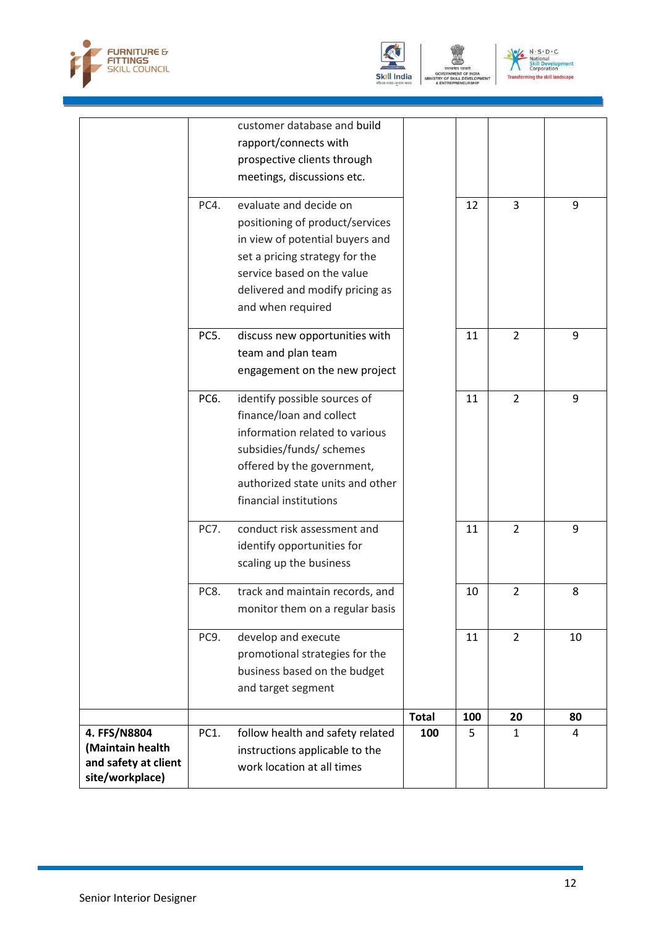





|                                         |      | customer database and build      |              |     |                |    |
|-----------------------------------------|------|----------------------------------|--------------|-----|----------------|----|
|                                         |      | rapport/connects with            |              |     |                |    |
|                                         |      | prospective clients through      |              |     |                |    |
|                                         |      | meetings, discussions etc.       |              |     |                |    |
|                                         | PC4. | evaluate and decide on           |              | 12  | 3              | 9  |
|                                         |      | positioning of product/services  |              |     |                |    |
|                                         |      | in view of potential buyers and  |              |     |                |    |
|                                         |      | set a pricing strategy for the   |              |     |                |    |
|                                         |      | service based on the value       |              |     |                |    |
|                                         |      | delivered and modify pricing as  |              |     |                |    |
|                                         |      | and when required                |              |     |                |    |
|                                         | PC5. | discuss new opportunities with   |              | 11  | $\overline{2}$ | 9  |
|                                         |      | team and plan team               |              |     |                |    |
|                                         |      | engagement on the new project    |              |     |                |    |
|                                         | PC6. | identify possible sources of     |              | 11  | $\overline{2}$ | 9  |
|                                         |      | finance/loan and collect         |              |     |                |    |
|                                         |      | information related to various   |              |     |                |    |
|                                         |      | subsidies/funds/ schemes         |              |     |                |    |
|                                         |      | offered by the government,       |              |     |                |    |
|                                         |      | authorized state units and other |              |     |                |    |
|                                         |      | financial institutions           |              |     |                |    |
|                                         | PC7. | conduct risk assessment and      |              | 11  | $\overline{2}$ | 9  |
|                                         |      | identify opportunities for       |              |     |                |    |
|                                         |      | scaling up the business          |              |     |                |    |
|                                         | PC8. | track and maintain records, and  |              | 10  | $\overline{2}$ | 8  |
|                                         |      | monitor them on a regular basis  |              |     |                |    |
|                                         | PC9. | develop and execute              |              | 11  | $\overline{2}$ | 10 |
|                                         |      | promotional strategies for the   |              |     |                |    |
|                                         |      | business based on the budget     |              |     |                |    |
|                                         |      | and target segment               |              |     |                |    |
|                                         |      |                                  | <b>Total</b> | 100 | 20             | 80 |
| 4. FFS/N8804                            | PC1. | follow health and safety related | 100          | 5   | $\mathbf{1}$   | 4  |
| (Maintain health                        |      | instructions applicable to the   |              |     |                |    |
| and safety at client<br>site/workplace) |      | work location at all times       |              |     |                |    |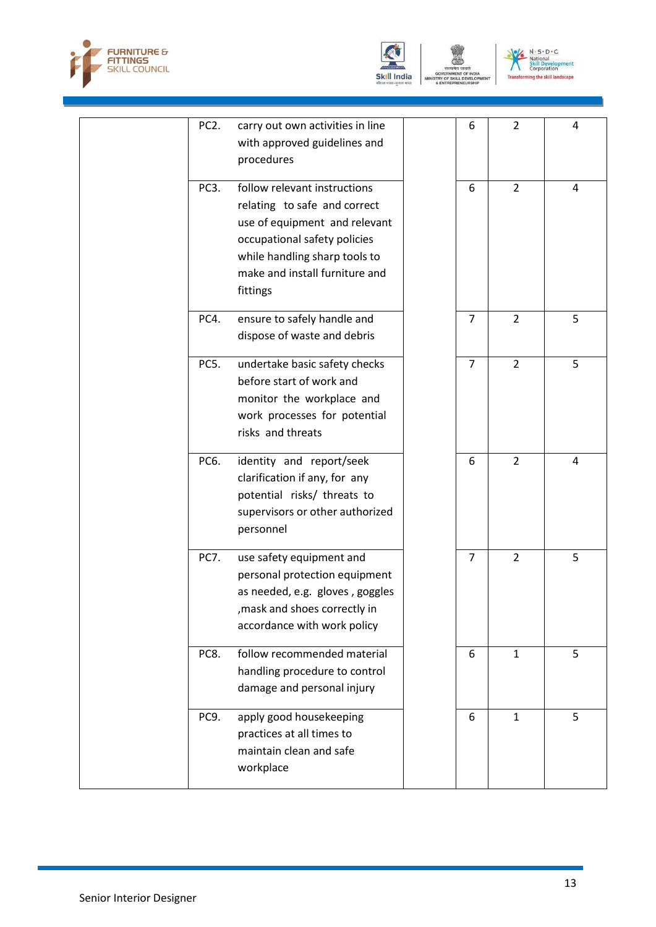





| PC <sub>2</sub> . | carry out own activities in line | 6              | $\overline{2}$ | 4 |
|-------------------|----------------------------------|----------------|----------------|---|
|                   | with approved guidelines and     |                |                |   |
|                   | procedures                       |                |                |   |
|                   |                                  |                |                |   |
| PC <sub>3</sub> . | follow relevant instructions     | 6              | $\overline{2}$ | 4 |
|                   | relating to safe and correct     |                |                |   |
|                   | use of equipment and relevant    |                |                |   |
|                   | occupational safety policies     |                |                |   |
|                   | while handling sharp tools to    |                |                |   |
|                   | make and install furniture and   |                |                |   |
|                   | fittings                         |                |                |   |
| PC4.              | ensure to safely handle and      | $\overline{7}$ | $\overline{2}$ | 5 |
|                   |                                  |                |                |   |
|                   | dispose of waste and debris      |                |                |   |
| PC5.              | undertake basic safety checks    | $\overline{7}$ | $\overline{2}$ | 5 |
|                   | before start of work and         |                |                |   |
|                   | monitor the workplace and        |                |                |   |
|                   | work processes for potential     |                |                |   |
|                   | risks and threats                |                |                |   |
|                   |                                  |                |                |   |
| PC6.              | identity and report/seek         | 6              | $\overline{2}$ | 4 |
|                   | clarification if any, for any    |                |                |   |
|                   | potential risks/ threats to      |                |                |   |
|                   | supervisors or other authorized  |                |                |   |
|                   | personnel                        |                |                |   |
|                   |                                  |                |                |   |
| <b>PC7.</b>       | use safety equipment and         | $\overline{7}$ | $\overline{2}$ | 5 |
|                   | personal protection equipment    |                |                |   |
|                   | as needed, e.g. gloves, goggles  |                |                |   |
|                   | , mask and shoes correctly in    |                |                |   |
|                   | accordance with work policy      |                |                |   |
| PC8.              | follow recommended material      | 6              | $\mathbf{1}$   | 5 |
|                   |                                  |                |                |   |
|                   | handling procedure to control    |                |                |   |
|                   | damage and personal injury       |                |                |   |
| PC9.              | apply good housekeeping          | 6              | $\mathbf{1}$   | 5 |
|                   | practices at all times to        |                |                |   |
|                   | maintain clean and safe          |                |                |   |
|                   | workplace                        |                |                |   |
|                   |                                  |                |                |   |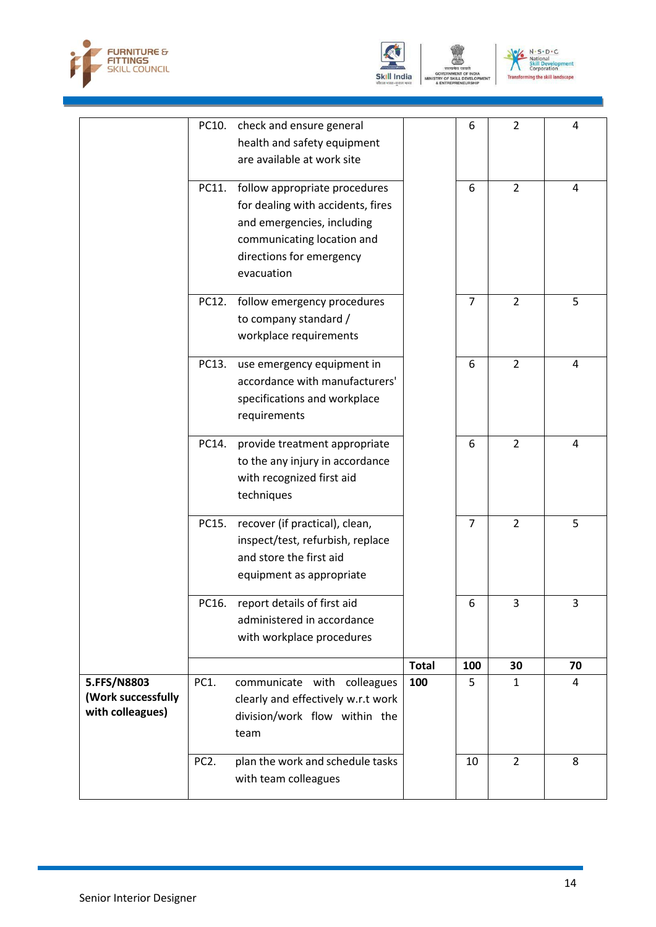



OF SKILL D TRY<br>\* EN



|                                                       | PC10.             | check and ensure general<br>health and safety equipment<br>are available at work site                                                                                    |              | 6              | $\overline{2}$ | 4  |
|-------------------------------------------------------|-------------------|--------------------------------------------------------------------------------------------------------------------------------------------------------------------------|--------------|----------------|----------------|----|
|                                                       | PC11.             | follow appropriate procedures<br>for dealing with accidents, fires<br>and emergencies, including<br>communicating location and<br>directions for emergency<br>evacuation |              | 6              | $\overline{2}$ | 4  |
|                                                       | PC12.             | follow emergency procedures<br>to company standard /<br>workplace requirements                                                                                           |              | $\overline{7}$ | $\overline{2}$ | 5  |
|                                                       | PC13.             | use emergency equipment in<br>accordance with manufacturers'<br>specifications and workplace<br>requirements                                                             |              | 6              | $\overline{2}$ | 4  |
|                                                       | PC14.             | provide treatment appropriate<br>to the any injury in accordance<br>with recognized first aid<br>techniques                                                              |              | 6              | $\overline{2}$ | 4  |
|                                                       | PC15.             | recover (if practical), clean,<br>inspect/test, refurbish, replace<br>and store the first aid<br>equipment as appropriate                                                |              | $\overline{7}$ | $\overline{2}$ | 5  |
|                                                       |                   | PC16. report details of first aid<br>administered in accordance<br>with workplace procedures                                                                             |              | 6              | 3              | 3  |
|                                                       |                   |                                                                                                                                                                          | <b>Total</b> | 100            | 30             | 70 |
| 5.FFS/N8803<br>(Work successfully<br>with colleagues) | PC1.              | communicate with colleagues<br>clearly and effectively w.r.t work<br>division/work flow within the<br>team                                                               | 100          | 5              | $\mathbf{1}$   | 4  |
|                                                       | PC <sub>2</sub> . | plan the work and schedule tasks<br>with team colleagues                                                                                                                 |              | 10             | $\overline{2}$ | 8  |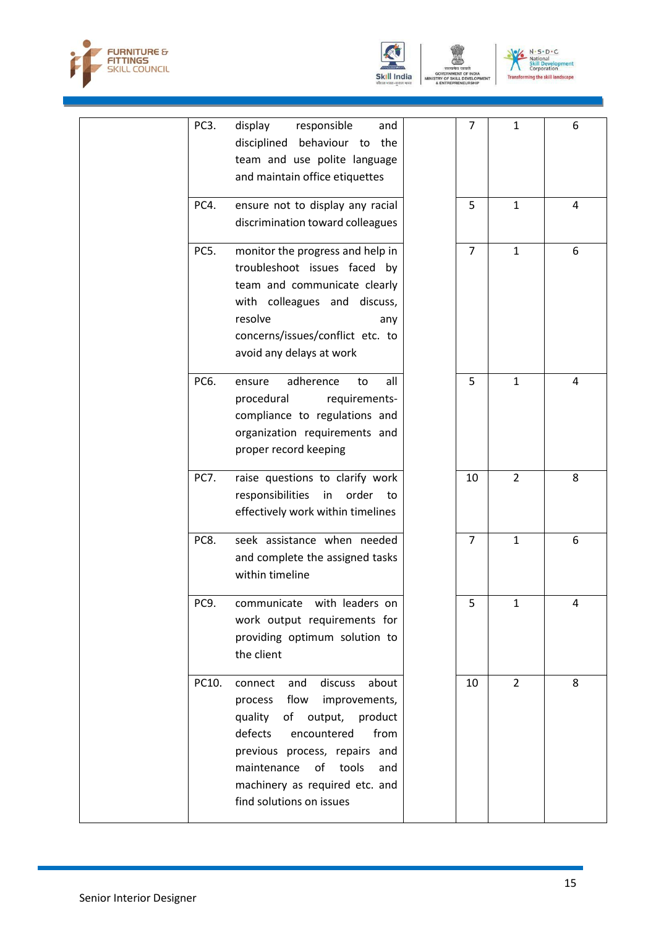



OF SKILL D VELO

TRY<br>\* EN



|  | PC3.        | display<br>responsible<br>and<br>disciplined behaviour to the<br>team and use polite language<br>and maintain office etiquettes                                                                                                                                                  | 7              | $\mathbf{1}$   | 6              |
|--|-------------|----------------------------------------------------------------------------------------------------------------------------------------------------------------------------------------------------------------------------------------------------------------------------------|----------------|----------------|----------------|
|  | PC4.        | ensure not to display any racial<br>discrimination toward colleagues                                                                                                                                                                                                             | 5              | $\mathbf{1}$   | $\overline{4}$ |
|  | PC5.        | monitor the progress and help in<br>troubleshoot issues faced by<br>team and communicate clearly<br>with colleagues and discuss,<br>resolve<br>any<br>concerns/issues/conflict etc. to<br>avoid any delays at work                                                               | $\overline{7}$ | $\mathbf{1}$   | 6              |
|  | PC6.        | adherence<br>all<br>ensure<br>to<br>procedural<br>requirements-<br>compliance to regulations and<br>organization requirements and<br>proper record keeping                                                                                                                       | 5              | $\mathbf{1}$   | 4              |
|  | <b>PC7.</b> | raise questions to clarify work<br>responsibilities<br>order<br>in<br>to<br>effectively work within timelines                                                                                                                                                                    | 10             | $\overline{2}$ | 8              |
|  | PC8.        | seek assistance when needed<br>and complete the assigned tasks<br>within timeline                                                                                                                                                                                                | $\overline{7}$ | $\mathbf{1}$   | 6              |
|  | PC9.        | communicate with leaders on<br>work output requirements for<br>providing optimum solution to<br>the client                                                                                                                                                                       | 5              | $\mathbf{1}$   | Λ              |
|  | PC10.       | discuss<br>about<br>connect<br>and<br>flow<br>improvements,<br>process<br>of output,<br>product<br>quality<br>defects<br>from<br>encountered<br>previous process, repairs and<br>maintenance<br>of<br>tools<br>and<br>machinery as required etc. and<br>find solutions on issues | 10             | $\overline{2}$ | 8              |